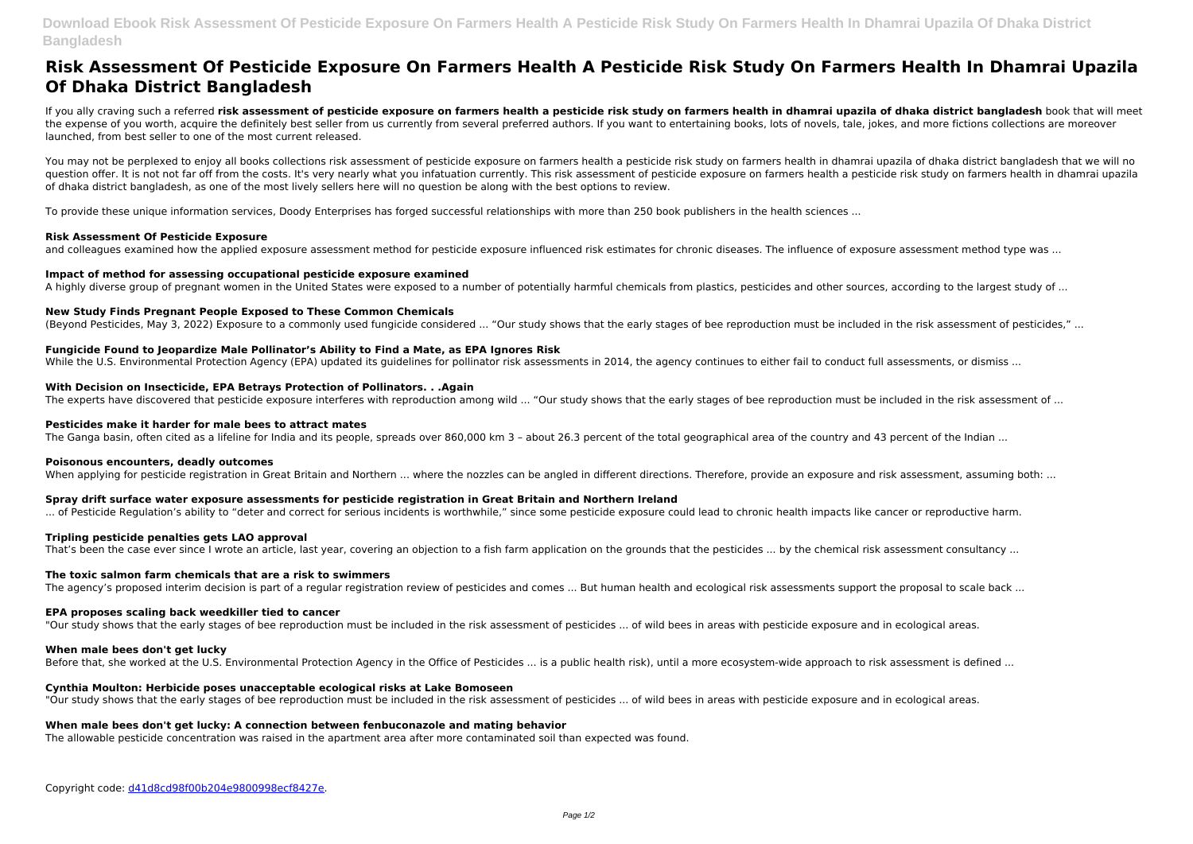# **Risk Assessment Of Pesticide Exposure On Farmers Health A Pesticide Risk Study On Farmers Health In Dhamrai Upazila Of Dhaka District Bangladesh**

If you ally craving such a referred **risk assessment of pesticide exposure on farmers health a pesticide risk study on farmers health in dhamrai upazila of dhaka district bangladesh** book that will meet the expense of you worth, acquire the definitely best seller from us currently from several preferred authors. If you want to entertaining books, lots of novels, tale, jokes, and more fictions collections are moreover launched, from best seller to one of the most current released.

You may not be perplexed to enjoy all books collections risk assessment of pesticide exposure on farmers health a pesticide risk study on farmers health in dhamrai upazila of dhaka district bangladesh that we will no question offer. It is not not far off from the costs. It's very nearly what you infatuation currently. This risk assessment of pesticide exposure on farmers health a pesticide risk study on farmers health in dhamrai upazila of dhaka district bangladesh, as one of the most lively sellers here will no question be along with the best options to review.

To provide these unique information services, Doody Enterprises has forged successful relationships with more than 250 book publishers in the health sciences ...

# **Risk Assessment Of Pesticide Exposure**

and colleagues examined how the applied exposure assessment method for pesticide exposure influenced risk estimates for chronic diseases. The influence of exposure assessment method type was ...

# **Impact of method for assessing occupational pesticide exposure examined**

A highly diverse group of pregnant women in the United States were exposed to a number of potentially harmful chemicals from plastics, pesticides and other sources, according to the largest study of ...

# **New Study Finds Pregnant People Exposed to These Common Chemicals**

(Beyond Pesticides, May 3, 2022) Exposure to a commonly used fungicide considered ... "Our study shows that the early stages of bee reproduction must be included in the risk assessment of pesticides," ...

# **Fungicide Found to Jeopardize Male Pollinator's Ability to Find a Mate, as EPA Ignores Risk**

While the U.S. Environmental Protection Agency (EPA) updated its quidelines for pollinator risk assessments in 2014, the agency continues to either fail to conduct full assessments, or dismiss ...

#### **With Decision on Insecticide, EPA Betrays Protection of Pollinators. . .Again**

The experts have discovered that pesticide exposure interferes with reproduction among wild ... "Our study shows that the early stages of bee reproduction must be included in the risk assessment of ...

### **Pesticides make it harder for male bees to attract mates**

The Ganga basin, often cited as a lifeline for India and its people, spreads over 860,000 km 3 - about 26.3 percent of the total geographical area of the country and 43 percent of the Indian ...

#### **Poisonous encounters, deadly outcomes**

When applying for pesticide registration in Great Britain and Northern ... where the nozzles can be angled in different directions. Therefore, provide an exposure and risk assessment, assuming both: ...

#### **Spray drift surface water exposure assessments for pesticide registration in Great Britain and Northern Ireland**

... of Pesticide Regulation's ability to "deter and correct for serious incidents is worthwhile," since some pesticide exposure could lead to chronic health impacts like cancer or reproductive harm.

# **Tripling pesticide penalties gets LAO approval**

That's been the case ever since I wrote an article, last year, covering an objection to a fish farm application on the grounds that the pesticides ... by the chemical risk assessment consultancy ...

#### **The toxic salmon farm chemicals that are a risk to swimmers**

The agency's proposed interim decision is part of a regular registration review of pesticides and comes ... But human health and ecological risk assessments support the proposal to scale back ...

#### **EPA proposes scaling back weedkiller tied to cancer**

"Our study shows that the early stages of bee reproduction must be included in the risk assessment of pesticides ... of wild bees in areas with pesticide exposure and in ecological areas.

#### **When male bees don't get lucky**

Before that, she worked at the U.S. Environmental Protection Agency in the Office of Pesticides ... is a public health risk), until a more ecosystem-wide approach to risk assessment is defined ...

#### **Cynthia Moulton: Herbicide poses unacceptable ecological risks at Lake Bomoseen**

"Our study shows that the early stages of bee reproduction must be included in the risk assessment of pesticides ... of wild bees in areas with pesticide exposure and in ecological areas.

#### **When male bees don't get lucky: A connection between fenbuconazole and mating behavior**

The allowable pesticide concentration was raised in the apartment area after more contaminated soil than expected was found.